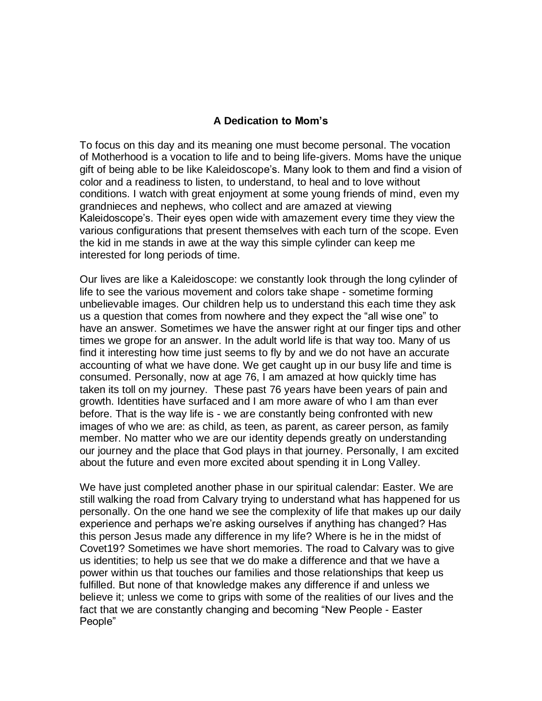## **A Dedication to Mom's**

To focus on this day and its meaning one must become personal. The vocation of Motherhood is a vocation to life and to being life-givers. Moms have the unique gift of being able to be like Kaleidoscope's. Many look to them and find a vision of color and a readiness to listen, to understand, to heal and to love without conditions. I watch with great enjoyment at some young friends of mind, even my grandnieces and nephews, who collect and are amazed at viewing Kaleidoscope's. Their eyes open wide with amazement every time they view the various configurations that present themselves with each turn of the scope. Even the kid in me stands in awe at the way this simple cylinder can keep me interested for long periods of time.

Our lives are like a Kaleidoscope: we constantly look through the long cylinder of life to see the various movement and colors take shape - sometime forming unbelievable images. Our children help us to understand this each time they ask us a question that comes from nowhere and they expect the "all wise one" to have an answer. Sometimes we have the answer right at our finger tips and other times we grope for an answer. In the adult world life is that way too. Many of us find it interesting how time just seems to fly by and we do not have an accurate accounting of what we have done. We get caught up in our busy life and time is consumed. Personally, now at age 76, I am amazed at how quickly time has taken its toll on my journey. These past 76 years have been years of pain and growth. Identities have surfaced and I am more aware of who I am than ever before. That is the way life is - we are constantly being confronted with new images of who we are: as child, as teen, as parent, as career person, as family member. No matter who we are our identity depends greatly on understanding our journey and the place that God plays in that journey. Personally, I am excited about the future and even more excited about spending it in Long Valley.

We have just completed another phase in our spiritual calendar: Easter. We are still walking the road from Calvary trying to understand what has happened for us personally. On the one hand we see the complexity of life that makes up our daily experience and perhaps we're asking ourselves if anything has changed? Has this person Jesus made any difference in my life? Where is he in the midst of Covet19? Sometimes we have short memories. The road to Calvary was to give us identities; to help us see that we do make a difference and that we have a power within us that touches our families and those relationships that keep us fulfilled. But none of that knowledge makes any difference if and unless we believe it; unless we come to grips with some of the realities of our lives and the fact that we are constantly changing and becoming "New People - Easter People"